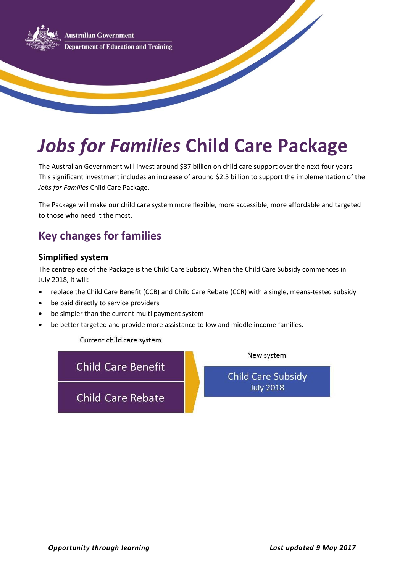

# *Jobs for Families* **Child Care Package**

The Australian Government will invest around \$37 billion on child care support over the next four years. This significant investment includes an increase of around \$2.5 billion to support the implementation of the *Jobs for Families* Child Care Package.

The Package will make our child care system more flexible, more accessible, more affordable and targeted to those who need it the most.

# **Key changes for families**

#### **Simplified system**

The centrepiece of the Package is the Child Care Subsidy. When the Child Care Subsidy commences in July 2018, it will:

- replace the Child Care Benefit (CCB) and Child Care Rebate (CCR) with a single, means-tested subsidy
- be paid directly to service providers
- be simpler than the current multi payment system
- be better targeted and provide more assistance to low and middle income families.

Current child care system

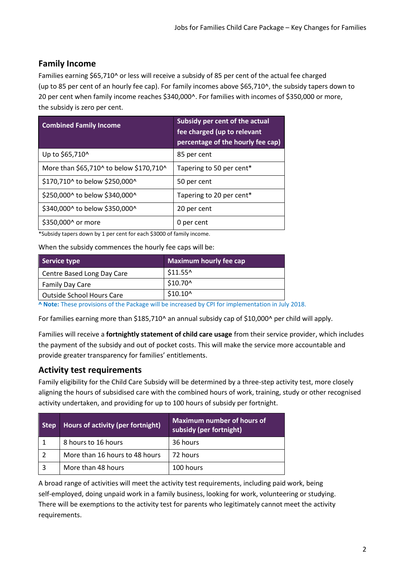### **Family Income**

Families earning \$65,710^ or less will receive a subsidy of 85 per cent of the actual fee charged (up to 85 per cent of an hourly fee cap). For family incomes above \$65,710^, the subsidy tapers down to 20 per cent when family income reaches \$340,000^. For families with incomes of \$350,000 or more, the subsidy is zero per cent.

| <b>Combined Family Income</b>           | Subsidy per cent of the actual<br>fee charged (up to relevant<br>percentage of the hourly fee cap) |
|-----------------------------------------|----------------------------------------------------------------------------------------------------|
| Up to \$65,710^                         | 85 per cent                                                                                        |
| More than \$65,710^ to below \$170,710^ | Tapering to 50 per cent*                                                                           |
| \$170,710^ to below \$250,000^          | 50 per cent                                                                                        |
| \$250,000^ to below \$340,000^          | Tapering to 20 per cent*                                                                           |
| \$340,000^ to below \$350,000^          | 20 per cent                                                                                        |
| \$350,000^ or more                      | 0 per cent                                                                                         |

\*Subsidy tapers down by 1 per cent for each \$3000 of family income.

When the subsidy commences the hourly fee caps will be:

| Service type                     | <b>Maximum hourly fee cap</b> |
|----------------------------------|-------------------------------|
| Centre Based Long Day Care       | $$11.55^{\circ}$              |
| Family Day Care                  | \$10.70^                      |
| <b>Outside School Hours Care</b> | $$10.10^{\circ}$              |

**^ Note:** These provisions of the Package will be increased by CPI for implementation in July 2018.

For families earning more than \$185,710^ an annual subsidy cap of \$10,000^ per child will apply.

Families will receive a **fortnightly statement of child care usage** from their service provider, which includes the payment of the subsidy and out of pocket costs. This will make the service more accountable and provide greater transparency for families' entitlements.

#### **Activity test requirements**

Family eligibility for the Child Care Subsidy will be determined by a three-step activity test, more closely aligning the hours of subsidised care with the combined hours of work, training, study or other recognised activity undertaken, and providing for up to 100 hours of subsidy per fortnight.

| <b>Step</b> | Hours of activity (per fortnight) | <b>Maximum number of hours of</b><br>subsidy (per fortnight) |
|-------------|-----------------------------------|--------------------------------------------------------------|
|             | 8 hours to 16 hours               | 36 hours                                                     |
|             | More than 16 hours to 48 hours    | 72 hours                                                     |
|             | More than 48 hours                | 100 hours                                                    |

A broad range of activities will meet the activity test requirements, including paid work, being self-employed, doing unpaid work in a family business, looking for work, volunteering or studying. There will be exemptions to the activity test for parents who legitimately cannot meet the activity requirements.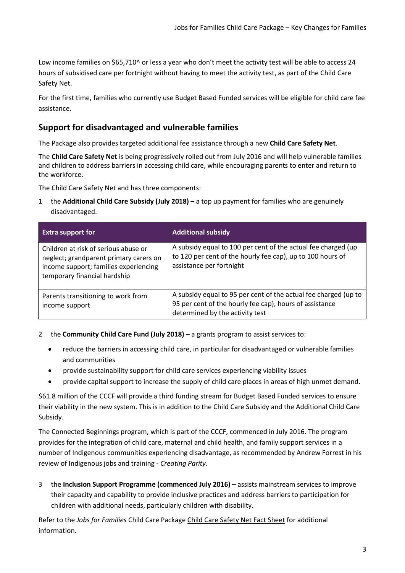Low income families on \$65,710^ or less a year who don't meet the activity test will be able to access 24 hours of subsidised care per fortnight without having to meet the activity test, as part of the Child Care Safety Net.

For the first time, families who currently use Budget Based Funded services will be eligible for child care fee assistance.

### **Support for disadvantaged and vulnerable families**

The Package also provides targeted additional fee assistance through a new **Child Care Safety Net**.

The **Child Care Safety Net** is being progressively rolled out from July 2016 and will help vulnerable families and children to address barriers in accessing child care, while encouraging parents to enter and return to the workforce.

The Child Care Safety Net and has three components:

1 the **Additional Child Care Subsidy (July 2018)** – a top up payment for families who are genuinely disadvantaged.

| <b>Extra support for</b>                                                                                                                                | <b>Additional subsidy</b>                                                                                                                                     |
|---------------------------------------------------------------------------------------------------------------------------------------------------------|---------------------------------------------------------------------------------------------------------------------------------------------------------------|
| Children at risk of serious abuse or<br>neglect; grandparent primary carers on<br>income support; families experiencing<br>temporary financial hardship | A subsidy equal to 100 per cent of the actual fee charged (up<br>to 120 per cent of the hourly fee cap), up to 100 hours of<br>assistance per fortnight       |
| Parents transitioning to work from<br>income support                                                                                                    | A subsidy equal to 95 per cent of the actual fee charged (up to<br>95 per cent of the hourly fee cap), hours of assistance<br>determined by the activity test |

- 2 the **Community Child Care Fund (July 2018)** a grants program to assist services to:
	- reduce the barriers in accessing child care, in particular for disadvantaged or vulnerable families and communities
	- provide sustainability support for child care services experiencing viability issues
	- provide capital support to increase the supply of child care places in areas of high unmet demand.

\$61.8 million of the CCCF will provide a third funding stream for Budget Based Funded services to ensure their viability in the new system. This is in addition to the Child Care Subsidy and the Additional Child Care Subsidy.

The Connected Beginnings program, which is part of the CCCF, commenced in July 2016. The program provides for the integration of child care, maternal and child health, and family support services in a number of Indigenous communities experiencing disadvantage, as recommended by Andrew Forrest in his review of Indigenous jobs and training - *Creating Parity*.

3 the **Inclusion Support Programme (commenced July 2016)** – assists mainstream services to improve their capacity and capability to provide inclusive practices and address barriers to participation for children with additional needs, particularly children with disability.

Refer to the *Jobs for Families* Child Care Package Child Care Safety Net Fact Sheet for additional information.